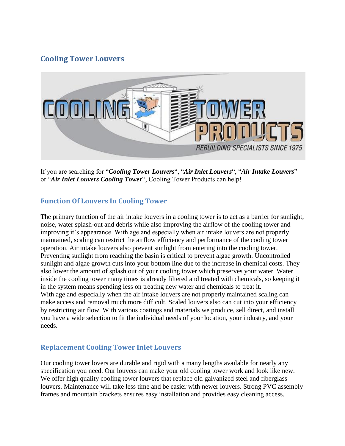## **Cooling Tower Louvers**



If you are searching for "*Cooling Tower Louvers*", "*Air Inlet Louvers*", "*Air Intake Louvers*" or "*Air Inlet Louvers Cooling Tower*", Cooling Tower Products can help!

## **Function Of Louvers In Cooling Tower**

The primary function of the air intake louvers in a cooling tower is to act as a barrier for sunlight, noise, water splash-out and debris while also improving the airflow of the cooling tower and improving it's appearance. With age and especially when air intake louvers are not properly maintained, scaling can restrict the airflow efficiency and performance of the cooling tower operation. Air intake louvers also prevent sunlight from entering into the cooling tower. Preventing sunlight from reaching the basin is critical to prevent algae growth. Uncontrolled sunlight and algae growth cuts into your bottom line due to the increase in chemical costs. They also lower the amount of splash out of your cooling tower which preserves your water. Water inside the cooling tower many times is already filtered and treated with chemicals, so keeping it in the system means spending less on treating new water and chemicals to treat it. With age and especially when the air intake louvers are not properly maintained scaling can make access and removal much more difficult. Scaled louvers also can cut into your efficiency by restricting air flow. With various coatings and materials we produce, sell direct, and install you have a wide selection to fit the individual needs of your location, your industry, and your needs.

## **Replacement Cooling Tower Inlet Louvers**

Our cooling tower lovers are durable and rigid with a many lengths available for nearly any specification you need. Our louvers can make your old cooling tower work and look like new. We offer high quality cooling tower louvers that replace old galvanized steel and fiberglass louvers. Maintenance will take less time and be easier with newer louvers. Strong PVC assembly frames and mountain brackets ensures easy installation and provides easy cleaning access.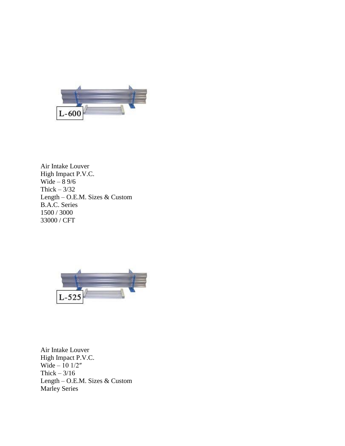

Air Intake Louver High Impact P.V.C. Wide  $-$  8 9/6 Thick  $-3/32$ Length – O.E.M. Sizes & Custom B.A.C. Series 1500 / 3000 33000 / CFT



Air Intake Louver High Impact P.V.C. Wide – 10 1/2″ Thick  $-3/16$ Length – O.E.M. Sizes & Custom Marley Series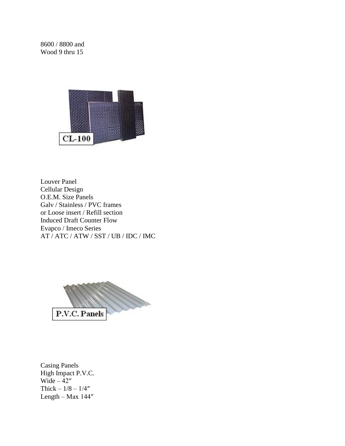8600 / 8800 and Wood 9 thru 15



Louver Panel Cellular Design O.E.M. Size Panels Galv / Stainless / PVC frames or Loose insert / Refill section Induced Draft Counter Flow Evapco / Imeco Series AT / ATC / ATW / SST / UB / IDC / IMC



Casing Panels High Impact P.V.C. Wide  $-42$ " Thick –  $1/8 - 1/4"$ Length – Max 144″